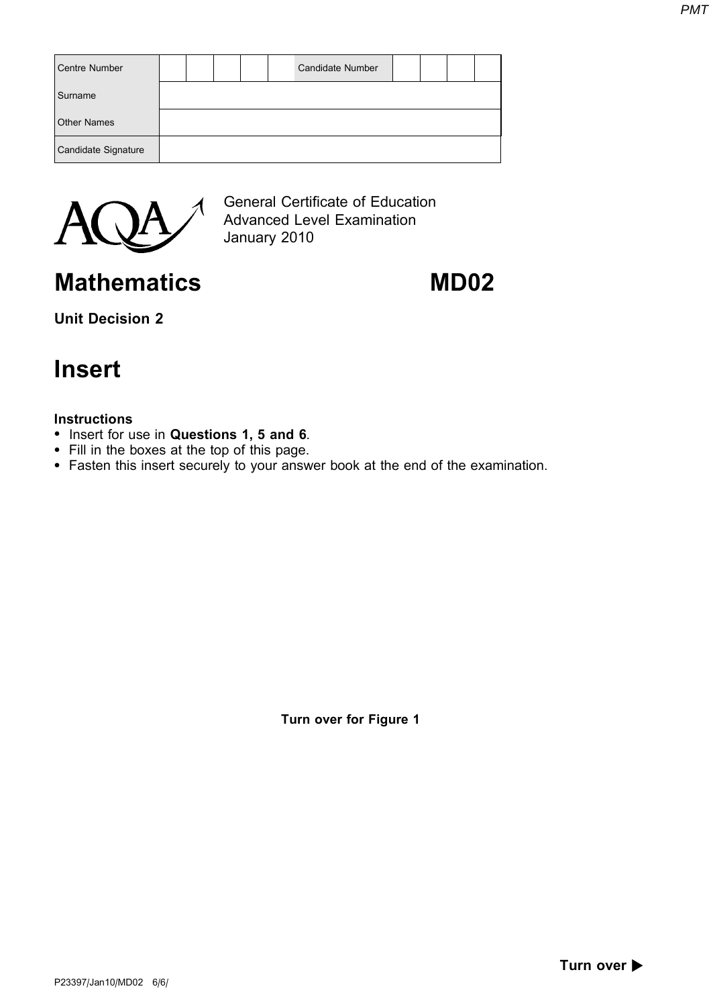| <b>Unit Decision 2</b> |  |
|------------------------|--|
| <b>Insert</b>          |  |

Centre Number **Candidate Number** 

## **Instructions**

Surname

Other Names

Candidate Signature

- Insert for use in Questions 1, 5 and 6.
- Fill in the boxes at the top of this page.
- \* Fasten this insert securely to your answer book at the end of the examination.

General Certificate of Education Advanced Level Examination

January 2010

Mathematics MD02

Turn over for Figure 1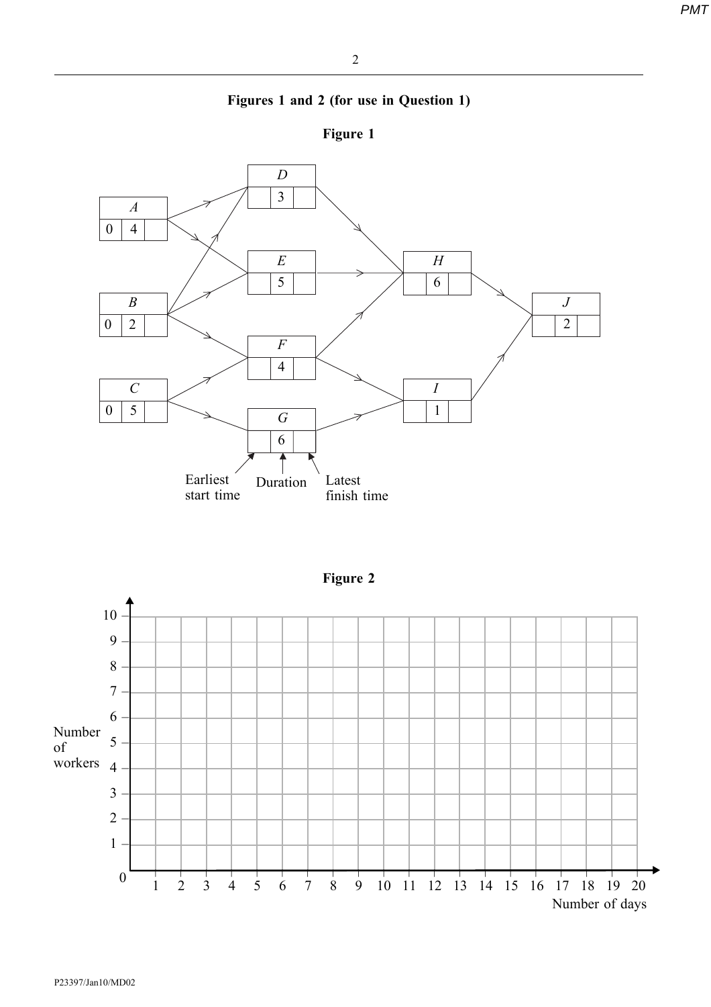*PMT*

## Figures 1 and 2 (for use in Question 1)





Figure 2

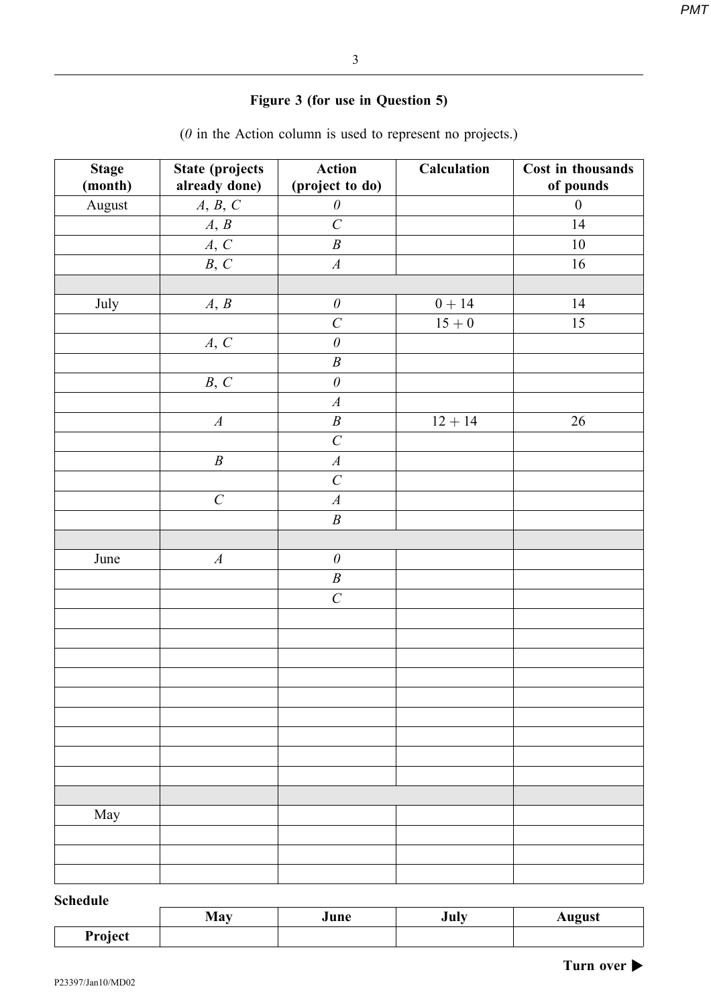*PMT*

## Figure 3 (for use in Question 5)

| <b>Stage</b><br>(month) | State (projects<br>already done) | <b>Action</b><br>(project to do) | Calculation | Cost in thousands<br>of pounds |
|-------------------------|----------------------------------|----------------------------------|-------------|--------------------------------|
| August                  | A, B, C                          | $\boldsymbol{\theta}$            |             | $\boldsymbol{0}$               |
|                         | A, B                             | $\overline{C}$                   |             | 14                             |
|                         | A, C                             | $\boldsymbol{B}$                 |             | 10                             |
|                         | B, C                             | $\boldsymbol{A}$                 |             | 16                             |
|                         |                                  |                                  |             |                                |
| July                    | A, B                             | $\theta$                         | $0 + 14$    | 14                             |
|                         |                                  | $\overline{C}$                   | $15+0\,$    | 15                             |
|                         | A, C                             | $\theta$                         |             |                                |
|                         |                                  | $\boldsymbol{B}$                 |             |                                |
|                         | B, C                             | $\theta$                         |             |                                |
|                         |                                  | $\boldsymbol{A}$                 |             |                                |
|                         | $\boldsymbol{A}$                 | $\boldsymbol{B}$                 | $12 + 14$   | $26\,$                         |
|                         |                                  | $\mathcal{C}$                    |             |                                |
|                         | $\boldsymbol{B}$                 | $\boldsymbol{A}$                 |             |                                |
|                         |                                  | $\mathcal{C}$                    |             |                                |
|                         | $\cal C$                         | $\boldsymbol{A}$                 |             |                                |
|                         |                                  | $\boldsymbol{B}$                 |             |                                |
|                         |                                  |                                  |             |                                |
| June                    | $\boldsymbol{A}$                 | $\theta$                         |             |                                |
|                         |                                  | $\boldsymbol{B}$                 |             |                                |
|                         |                                  | $\overline{C}$                   |             |                                |
|                         |                                  |                                  |             |                                |
|                         |                                  |                                  |             |                                |
|                         |                                  |                                  |             |                                |
|                         |                                  |                                  |             |                                |
|                         |                                  |                                  |             |                                |
|                         |                                  |                                  |             |                                |
|                         |                                  |                                  |             |                                |
|                         |                                  |                                  |             |                                |
|                         |                                  |                                  |             |                                |
|                         |                                  |                                  |             |                                |
| May                     |                                  |                                  |             |                                |
|                         |                                  |                                  |             |                                |
|                         |                                  |                                  |             |                                |
|                         |                                  |                                  |             |                                |

 $(0 \text{ in the Action column is used to represent no projects.})$ 

## Schedule

|         | $M$ ay | June | July | <b>August</b> |
|---------|--------|------|------|---------------|
| Project |        |      |      |               |